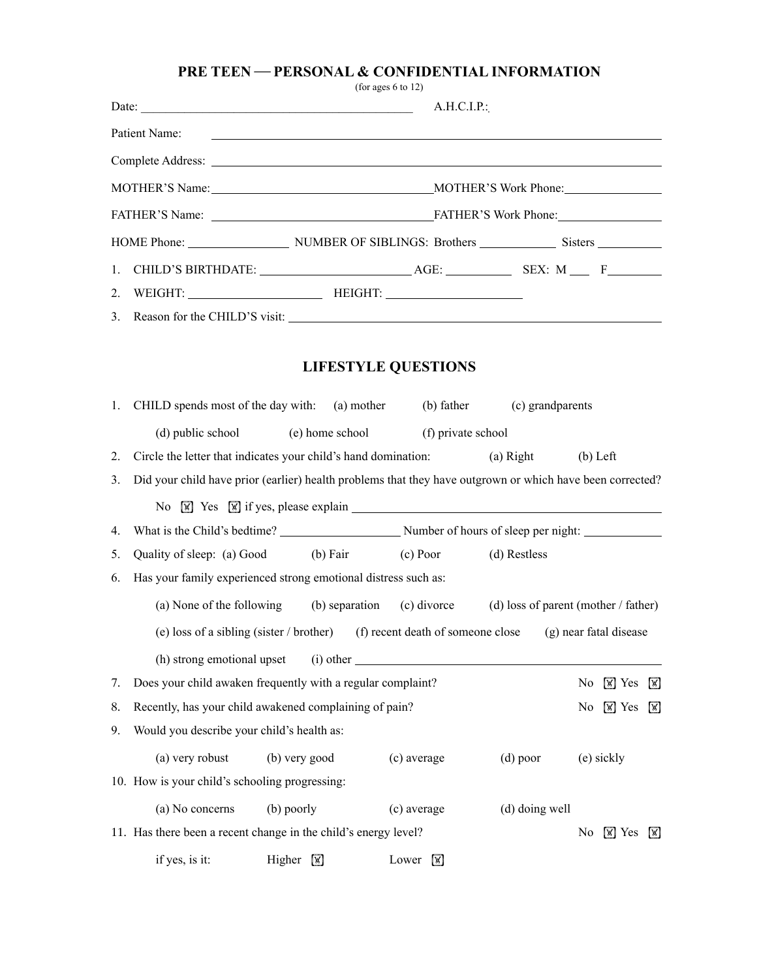## **PRE TEEN — PERSONAL & CONFIDENTIAL INFORMATION**

(for ages 6 to 12)

|    | Date: $\frac{1}{2}$                                                                                       |                             |             | A.H.C.I.P.                 |                                                                                                           |                |                  |                              |
|----|-----------------------------------------------------------------------------------------------------------|-----------------------------|-------------|----------------------------|-----------------------------------------------------------------------------------------------------------|----------------|------------------|------------------------------|
|    | Patient Name:                                                                                             |                             |             |                            | <u> 1999 - Johann John Stone, markin sanat masjid asl nashrida asl nashrida asl nashrida asl nashrida</u> |                |                  |                              |
|    |                                                                                                           |                             |             |                            |                                                                                                           |                |                  |                              |
|    |                                                                                                           |                             |             |                            |                                                                                                           |                |                  |                              |
|    |                                                                                                           |                             |             |                            |                                                                                                           |                |                  |                              |
|    |                                                                                                           |                             |             |                            |                                                                                                           |                |                  |                              |
| 1. |                                                                                                           |                             |             |                            |                                                                                                           |                |                  |                              |
| 2. |                                                                                                           |                             |             |                            |                                                                                                           |                |                  |                              |
| 3. |                                                                                                           |                             |             |                            |                                                                                                           |                |                  |                              |
|    |                                                                                                           |                             |             | <b>LIFESTYLE QUESTIONS</b> |                                                                                                           |                |                  |                              |
| 1. | CHILD spends most of the day with: (a) mother                                                             |                             |             |                            | (b) father (c) grandparents                                                                               |                |                  |                              |
|    | (d) public school (e) home school (f) private school                                                      |                             |             |                            |                                                                                                           |                |                  |                              |
| 2. | Circle the letter that indicates your child's hand domination:                                            |                             |             |                            | $(a)$ Right                                                                                               | $(b)$ Left     |                  |                              |
| 3. | Did your child have prior (earlier) health problems that they have outgrown or which have been corrected? |                             |             |                            |                                                                                                           |                |                  |                              |
|    | No $\boxed{\mathbb{X}}$ Yes $\boxed{\mathbb{X}}$ if yes, please explain $\boxed{\mathbb{X}}$              |                             |             |                            |                                                                                                           |                |                  |                              |
| 4. |                                                                                                           |                             |             |                            |                                                                                                           |                |                  |                              |
| 5. | Quality of sleep: (a) Good (b) Fair (c) Poor (d) Restless                                                 |                             |             |                            |                                                                                                           |                |                  |                              |
| 6. | Has your family experienced strong emotional distress such as:                                            |                             |             |                            |                                                                                                           |                |                  |                              |
|    | (a) None of the following                                                                                 |                             |             |                            | (b) separation (c) divorce (d) loss of parent (mother / father)                                           |                |                  |                              |
|    | (e) loss of a sibling (sister / brother) (f) recent death of someone close (g) near fatal disease         |                             |             |                            |                                                                                                           |                |                  |                              |
|    | (h) strong emotional upset                                                                                |                             | $(i)$ other |                            |                                                                                                           |                |                  |                              |
| 7. | Does your child awaken frequently with a regular complaint?                                               |                             |             |                            |                                                                                                           | No             | $\mathbb{W}$ Yes | $\boxed{\mathbb{X}}$         |
| 8. | Recently, has your child awakened complaining of pain?                                                    |                             |             |                            |                                                                                                           | No             | $\mathbb{W}$ Yes | $\lfloor \mathsf{w} \rfloor$ |
| 9. | Would you describe your child's health as:                                                                |                             |             |                            |                                                                                                           |                |                  |                              |
|    | (a) very robust                                                                                           | (b) very good               |             | (c) average                | $(d)$ poor                                                                                                |                | (e) sickly       |                              |
|    | 10. How is your child's schooling progressing:                                                            |                             |             |                            |                                                                                                           |                |                  |                              |
|    | (a) No concerns                                                                                           | (b) poorly                  |             | (c) average                | (d) doing well                                                                                            |                |                  |                              |
|    | 11. Has there been a recent change in the child's energy level?                                           |                             |             |                            |                                                                                                           | N <sub>0</sub> | $\mathbb{W}$ Yes | <b>W</b>                     |
|    | if yes, is it:                                                                                            | Higher $\boxed{\mathbb{X}}$ |             | Lower $\boxed{\mathbb{X}}$ |                                                                                                           |                |                  |                              |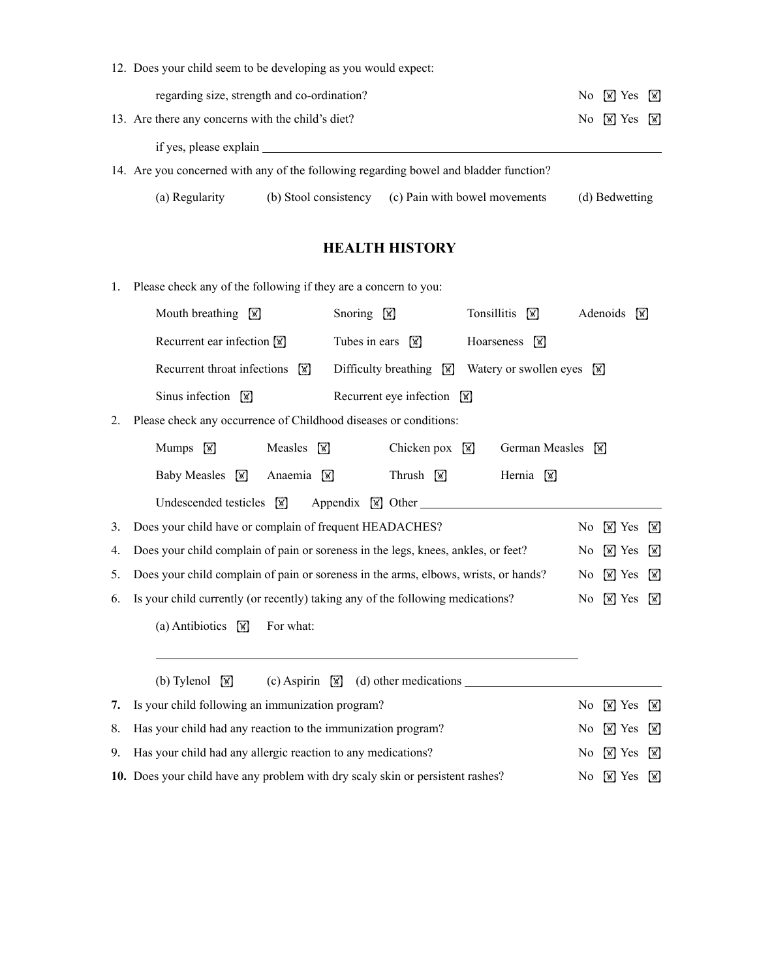| 12. Does your child seem to be developing as you would expect: |                       |                                                                                       |                                                  |  |
|----------------------------------------------------------------|-----------------------|---------------------------------------------------------------------------------------|--------------------------------------------------|--|
| regarding size, strength and co-ordination?                    |                       |                                                                                       | No $\boxed{\mathbb{X}}$ Yes $\boxed{\mathbb{X}}$ |  |
| 13. Are there any concerns with the child's diet?              |                       |                                                                                       | No $\boxed{\mathbb{X}}$ Yes $\boxed{\mathbb{X}}$ |  |
| if yes, please explain                                         |                       |                                                                                       |                                                  |  |
|                                                                |                       | 14. Are you concerned with any of the following regarding bowel and bladder function? |                                                  |  |
| (a) Regularity                                                 | (b) Stool consistency | (c) Pain with bowel movements                                                         | (d) Bedwetting                                   |  |

## **HEALTH HISTORY**

1. Please check any of the following if they are a concern to you:

|    | Mouth breathing $\boxed{\mathbb{X}}$                                                | Snoring $\boxed{\mathbb{X}}$                 | Tonsillitis<br>$\overline{M}$ |                | Adenoids<br>$\mathbb{W}$ |                      |
|----|-------------------------------------------------------------------------------------|----------------------------------------------|-------------------------------|----------------|--------------------------|----------------------|
|    | Recurrent ear infection $\boxed{\mathbb{X}}$                                        | Tubes in ears $\boxed{\mathbb{X}}$           | Hoarseness<br>$\sqrt{N}$      |                |                          |                      |
|    | Recurrent throat infections<br>W                                                    | Difficulty breathing $\sqrt{\mathbf{x}}$     | Watery or swollen eyes        | <b>M</b>       |                          |                      |
|    | Sinus infection $\sqrt{\mathbb{M}}$                                                 | Recurrent eye infection $\boxed{\mathbb{X}}$ |                               |                |                          |                      |
| 2. | Please check any occurrence of Childhood diseases or conditions:                    |                                              |                               |                |                          |                      |
|    | Mumps $\boxed{\mathbb{X}}$<br>Measles $\boxed{\mathbb{X}}$                          | Chicken pox                                  | German Measles<br>W           |                | W                        |                      |
|    | <b>Baby Measles</b><br>W<br>Anaemia $\sqrt{\mathbb{x}}$                             | Thrush $\boxed{\mathbb{X}}$                  | Hernia<br><b>M</b>            |                |                          |                      |
|    | Undescended testicles<br>W                                                          | Appendix $\boxed{\mathbb{X}}$ Other          |                               |                |                          |                      |
| 3. | Does your child have or complain of frequent HEADACHES?                             |                                              |                               | No             | $\mathbb{W}$ Yes         | $\mathbb{W}$         |
| 4. | Does your child complain of pain or soreness in the legs, knees, ankles, or feet?   |                                              |                               | No             | $\mathbb{W}$ Yes         | X                    |
| 5. | Does your child complain of pain or soreness in the arms, elbows, wrists, or hands? |                                              |                               | No             | $\mathbb{W}$ Yes         | ⊠                    |
| 6. | Is your child currently (or recently) taking any of the following medications?      |                                              |                               | No             | $\mathbb{W}$ Yes         | <b>M</b>             |
|    | For what:<br>(a) Antibiotics<br>$\sqrt{M}$                                          |                                              |                               |                |                          |                      |
|    |                                                                                     |                                              |                               |                |                          |                      |
|    | (b) Tylenol<br>(c) Aspirin $\mathbb{F}$<br>$\sqrt{M}$                               |                                              |                               |                |                          |                      |
| 7. | Is your child following an immunization program?                                    |                                              |                               | No             | $\mathbb{W}$ Yes         | $\sqrt{\mathbb{X}}$  |
| 8. | Has your child had any reaction to the immunization program?                        |                                              |                               | No             | $\mathbb{W}$ Yes         | $\boxed{\mathbb{X}}$ |
| 9. | Has your child had any allergic reaction to any medications?                        |                                              |                               | No             | $\mathbb{W}$ Yes         | X                    |
|    | 10. Does your child have any problem with dry scaly skin or persistent rashes?      |                                              |                               | N <sub>0</sub> | $\mathbb{W}$ Yes         | <b>M</b>             |